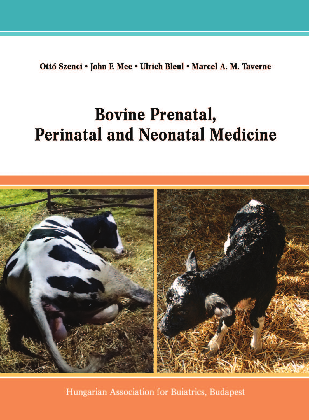Ottó Szenci • John F. Mee • Ulrich Bleul • Marcel A. M. Taverne

# **Bovine Prenatal, Perinatal and Neonatal Medicine**



Hungarian Association for Buiatrics, Budapest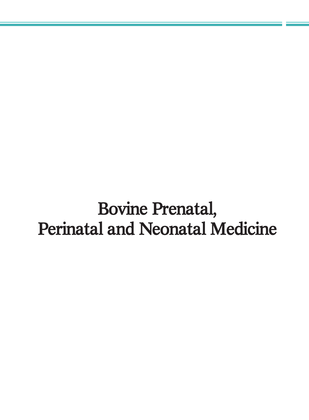Bovine Prenatal, Perinatal and Neonatal Medicine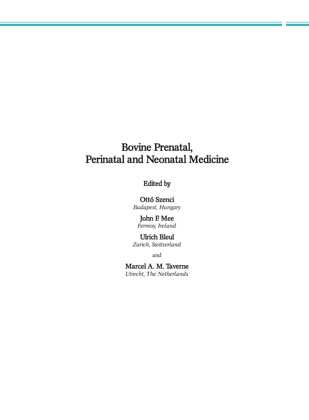# Bovine Prenatal, Perinatal and Neonatal Medicine

# Edited by

#### Ottó Szenci

*Budapest, Hungary*

#### John F. Mee *Fermoy, Ireland*

# Ulrich Bleul

*Zurich, Switzerland*

and

#### Marcel A. M. Taverne *Utrecht, The Netherlands*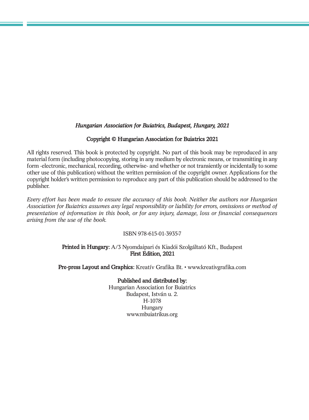#### *Hungarian Association for Buiatrics, Budapest, Hungary, 2021*

#### Copyright © Hungarian Association for Buiatrics 2021

All rights reserved. This book is protected by copyright. No part of this book may be reproduced in any material form (including photocopying, storing in any medium by electronic means, or transmitting in any form -electronic, mechanical, recording, otherwise- and whether or not transiently or incidentally to some other use of this publication) without the written permission of the copyright owner. Applications for the copyright holder's written permission to reproduce any part of this publication should be addressed to the publisher.

*Every effort has been made to ensure the accuracy of this book. Neither the authors nor Hungarian Association for Buiatrics assumes any legal responsibility or liability for errors, omissions or method of presentation of information in this book, or for any injury, damage, loss or financial consequences arising from the use of the book.*

#### ISBN 978-615-01-3935-7

#### Printed in Hungary: A/3 Nyomdaipari és Kiadói Szolgáltató Kft., Budapest First Edition, 2021

Pre-press Layout and Graphics: Kreatív Grafika Bt. • www.kreativgrafika.com

#### Published and distributed by:

Hungarian Association for Buiatrics Budapest, István u. 2. H-1078 Hungary www.mbuiatrikus.org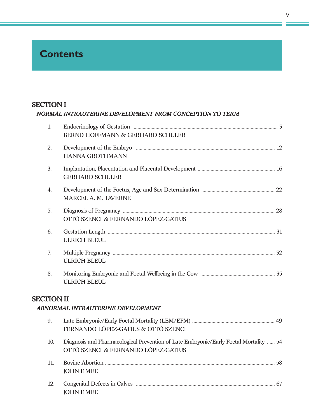# **Contents**

### SECTION I

|                   | NORMAL INTRAUTERINE DEVELOPMENT FROM CONCEPTION TO TERM                                                                      |  |
|-------------------|------------------------------------------------------------------------------------------------------------------------------|--|
| 1.                | BERND HOFFMANN & GERHARD SCHULER                                                                                             |  |
| 2.                | <b>HANNA GROTHMANN</b>                                                                                                       |  |
| 3.                | <b>GERHARD SCHULER</b>                                                                                                       |  |
| 4.                | MARCEL A. M. TAVERNE                                                                                                         |  |
| 5.                | OTTÓ SZENCI & FERNANDO LÓPEZ-GATIUS                                                                                          |  |
| 6.                | <b>ULRICH BLEUL</b>                                                                                                          |  |
| 7.                | <b>ULRICH BLEUL</b>                                                                                                          |  |
| 8.                | <b>ULRICH BLEUL</b>                                                                                                          |  |
| <b>SECTION II</b> | ABNORMAL INTRAUTERINE DEVELOPMENT                                                                                            |  |
| 9.                | FERNANDO LÓPEZ-GATIUS & OTTÓ SZENCI                                                                                          |  |
| 10.               | Diagnosis and Pharmacological Prevention of Late Embryonic/Early Foetal Mortality  54<br>OTTÓ SZENCI & FERNANDO LÓPEZ-GATIUS |  |
| 11.               | <b>JOHN F. MEE</b>                                                                                                           |  |

| JOHN F. MEE |  |
|-------------|--|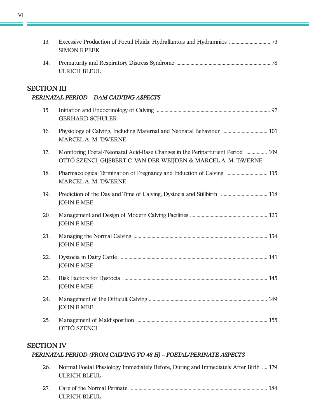| 13.                | <b>SIMON F. PEEK</b>                                                                                                                              |  |
|--------------------|---------------------------------------------------------------------------------------------------------------------------------------------------|--|
| 14.                | <b>ULRICH BLEUL</b>                                                                                                                               |  |
| <b>SECTION III</b> | PERINATAL PERIOD - DAM CALVING ASPECTS                                                                                                            |  |
| 15.                | <b>GERHARD SCHULER</b>                                                                                                                            |  |
| 16.                | Physiology of Calving, Including Maternal and Neonatal Behaviour  101<br>MARCEL A. M. TAVERNE                                                     |  |
| 17.                | Monitoring Foetal/Neonatal Acid-Base Changes in the Periparturient Period  109<br>OTTÓ SZENCI, GIJSBERT C. VAN DER WEIJDEN & MARCEL A. M. TAVERNE |  |
| 18.                | Pharmacological Termination of Pregnancy and Induction of Calving  115<br>MARCEL A. M. TAVERNE                                                    |  |
| 19.                | <b>JOHN F. MEE</b>                                                                                                                                |  |
| 20.                | <b>JOHN F. MEE</b>                                                                                                                                |  |
| 21.                | <b>JOHN F. MEE</b>                                                                                                                                |  |
| 22.                | <b>JOHN F. MEE</b>                                                                                                                                |  |
| 23.                | <b>JOHN F. MEE</b>                                                                                                                                |  |
| 24.                | <b>JOHN F. MEE</b>                                                                                                                                |  |
| 25.                | OTTÓ SZENCI                                                                                                                                       |  |

## SECTION IV

### *PERINATAL PERIOD (FROM CALVING TO 48 H) – FOETAL/PERINATE ASPECTS*

| 26. | Normal Foetal Physiology Immediately Before, During and Immediately After Birth  179<br>ULRICH BLEUL |  |
|-----|------------------------------------------------------------------------------------------------------|--|
|     | ULRICH BLEUL                                                                                         |  |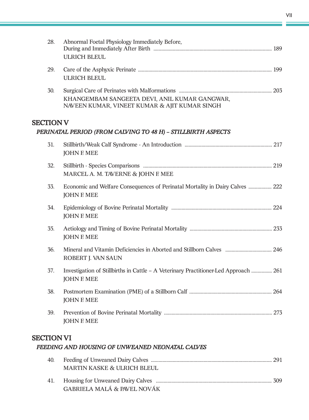| 28.              | Abnormal Foetal Physiology Immediately Before,<br><b>ULRICH BLEUL</b>                                      |     |
|------------------|------------------------------------------------------------------------------------------------------------|-----|
| 29.              | <b>ULRICH BLEUL</b>                                                                                        |     |
| 30.              | KHANGEMBAM SANGEETA DEVI, ANIL KUMAR GANGWAR,<br>NAVEEN KUMAR, VINEET KUMAR & AJIT KUMAR SINGH             |     |
| <b>SECTION V</b> | PERINATAL PERIOD (FROM CALVING TO 48 H) - STILLBIRTH ASPECTS                                               |     |
| 31.              | <b>JOHN F MEE</b>                                                                                          |     |
| 32.              | MARCEL A. M. TAVERNE & JOHN F. MEE                                                                         |     |
| 33.              | Economic and Welfare Consequences of Perinatal Mortality in Dairy Calves  222<br><b>JOHN F. MEE</b>        |     |
| 34.              | <b>JOHN F. MEE</b>                                                                                         |     |
| 35.              | <b>JOHN F. MEE</b>                                                                                         |     |
| 36.              | ROBERT J. VAN SAUN                                                                                         |     |
| 37.              | Investigation of Stillbirths in Cattle – A Veterinary Practitioner-Led Approach  261<br><b>JOHN F. MEE</b> |     |
| 38.              | <b>JOHN F. MEE</b>                                                                                         | 264 |
| 39.              | <b>JOHN F. MEE</b>                                                                                         |     |

# SECTION VI

#### *FEEDING AND HOUSING OF UNWEANED NEONATAL CALVES*

| <b>MARTIN KASKE &amp; ULRICH BLEUL</b> |  |
|----------------------------------------|--|
|                                        |  |
| <b>GABRIELA MALÁ &amp; PAVEL NOVÁK</b> |  |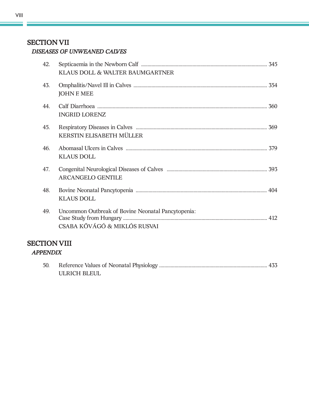#### *DISEASES OF UNWEANED CALVES*

| 42. | KLAUS DOLL & WALTER BAUMGARTNER                                                    |     |  |
|-----|------------------------------------------------------------------------------------|-----|--|
| 43. | <b>JOHN F. MEE</b>                                                                 |     |  |
| 44. | <b>INGRID LORENZ</b>                                                               | 360 |  |
| 45. | KERSTIN ELISABETH MÜLLER                                                           |     |  |
| 46. | <b>KLAUS DOLL</b>                                                                  |     |  |
| 47. | <b>ARCANGELO GENTILE</b>                                                           |     |  |
| 48. | <b>KLAUS DOLL</b>                                                                  |     |  |
| 49. | Uncommon Outbreak of Bovine Neonatal Pancytopenia:<br>CSABA KŐVÁGÓ & MIKLÓS RUSVAI |     |  |
|     | <b>SECTION VIII</b><br><b>APPENDIX</b>                                             |     |  |

| 50. |              |  |
|-----|--------------|--|
|     | ULRICH BLEUL |  |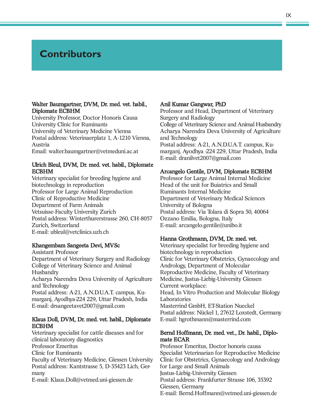# **Contributors**

#### Walter Baumgartner, DVM, Dr. med. vet. habil., Diplomate ECBHM

University Professor, Doctor Honoris Causa University Clinic for Ruminants University of Veterinary Medicine Vienna Postal address: Veterinaerplatz 1, A-1210 Vienna, Austria Email: walter.baumgartner@vetmeduni.ac.at

#### Ulrich Bleul, DVM, Dr. med. vet. habil., Diplomate ECBHM

Veterinary specialist for breeding hygiene and biotechnology in reproduction Professor for Large Animal Reproduction Clinic of Reproductive Medicine Department of Farm Animals Vetsuisse-Faculty University Zurich Postal address: Winterthurerstrasse 260, CH-8057 Zurich, Switzerland E-mail: ubleul@vetclinics.uzh.ch

#### Khangembam Sangeeta Devi, MVSc

Assistant Professor Department of Veterinary Surgery and Radiology College of Veterinary Science and Animal Husbandry Acharya Narendra Deva University of Agriculture and Technology Postal address: A-21, A.N.D.U.A.T. campus, Kumarganj, Ayodhya-224 229, Uttar Pradesh, India E-mail: drsangeetavet2007@gmail.com

#### Klaus Doll, DVM, Dr. med. vet. habil., Diplomate ECBHM

Veterinary specialist for cattle diseases and for clinical laboratory diagnostics Professor Emeritus Clinic for Ruminants Faculty of Veterinary Medicine, Giessen University Postal address: Kantstrasse 5, D-35423 Lich, Germany

E-mail: Klaus.Doll@vetmed.uni-giessen.de

#### Anil Kumar Gangwar, PhD

Professor and Head, Department of Veterinary Surgery and Radiology College of Veterinary Science and Animal Husbandry Acharya Narendra Deva University of Agriculture and Technology Postal address: A-21, A.N.D.U.A.T. campus, Kumarganj, Ayodhya -224 229, Uttar Pradesh, India E-mail: dranilvet2007@gmail.com

#### Arcangelo Gentile, DVM, Diplomate ECBHM

Professor for Large Animal Internal Medicine Head of the unit for Buiatrics and Small Ruminants Internal Medicine Department of Veterinary Medical Sciences University of Bologna Postal address: Via Tolara di Sopra 50, 40064 Ozzano Emilia, Bologna, Italy E-mail: arcangelo.gentile@unibo.it

#### Hanna Grothmann, DVM, Dr. med. vet.

Veterinary specialist for breeding hygiene and biotechnology in reproduction Clinic for Veterinary Obstetrics, Gynaecology and Andrology, Department of Molecular Reproductive Medicine, Faculty of Veterinary Medicine, Justus-Liebig-University Giessen Current workplace: Head, In Vitro Production and Molecular Biology Laboratories Masterrind GmbH, ET-Station Nueckel Postal address: Nückel 1, 27612 Loxstedt, Germany E-mail: hgrothmann@masterrind.com

#### Bernd Hoffmann, Dr. med. vet., Dr. habil., Diplomate ECAR

Professor Emeritus, Doctor honoris causa Specialist Veterinarian for Reproductive Medicine Clinic for Obstetrics, Gynaecology and Andrology for Large and Small Animals Justus-Liebig-University Giessen Postal address: Frankfurter Strasse 106, 35392 Giessen, Germany E-mail: Bernd.Hoffmann@vetmed.uni-giessen.de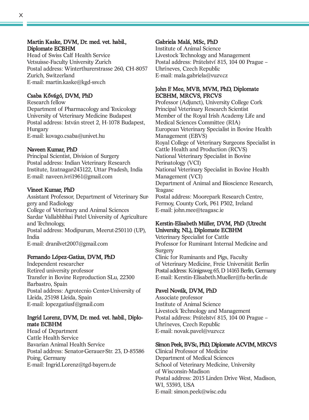#### Martin Kaske, DVM, Dr. med. vet. habil., Diplomate ECBHM

Head of Swiss Calf Health Service Vetsuisse-Faculty University Zurich Postal address: Winterthurerstrasse 260, CH-8057 Zurich, Switzerland E-mail: martin.kaske@kgd-ssv.ch

#### Csaba Kővágó, DVM, PhD

Research fellow Department of Pharmacology and Toxicology University of Veterinary Medicine Budapest Postal address: István street 2, H-1078 Budapest, Hungary E-mail: kovago.csaba@univet.hu

#### Naveen Kumar, PhD

Principal Scientist, Division of Surgery Postal address: Indian Veterinary Research Institute, Izatnagar-243122, Uttar Pradesh, India E-mail: naveen.ivri1961@gmail.com

#### Vineet Kumar, PhD

Assistant Professor, Department of Veterinary Surgery and Radiology College of Veterinary and Animal Sciences Sardar Vallabhbhai Patel University of Agriculture and Technology, Postal address: Modipurum, Meerut-250110 (UP), India E-mail: dranilvet2007@gmail.com

#### Fernando López-Gatius, DVM, PhD

Independent researcher Retired university professor Transfer in Bovine Reproduction SLu, 22300 Barbastro, Spain Postal address: Agrotecnio Center-University of Lleida, 25198 Lleida, Spain E-mail: lopezgatiusf@gmail.com

#### Ingrid Lorenz, DVM, Dr. med. vet. habil., Diplomate ECBHM

Head of Department Cattle Health Service Bavarian Animal Health Service Postal address: Senator-Gerauer-Str. 23, D-85586 Poing, Germany E-mail: Ingrid.Lorenz@tgd-bayern.de

#### Gabriela Malá, MSc, PhD

Institute of Animal Science Livestock Technology and Management Postal address: Prátelství 815, 104 00 Prague – Uhríneves, Czech Republic E-mail: mala.gabriela@vuzv.cz

#### John F. Mee, MVB, MVM, PhD, Diplomate ECBHM, MRCVS, FRCVS

Professor (Adjunct), University College Cork Principal Veterinary Research Scientist Member of the Royal Irish Academy Life and Medical Sciences Committee (RIA) European Veterinary Specialist in Bovine Health Management (EBVS) Royal College of Veterinary Surgeons Specialist in Cattle Health and Production (RCVS) National Veterinary Specialist in Bovine Perinatology (VCI) National Veterinary Specialist in Bovine Health Management (VCI) Department of Animal and Bioscience Research, Teagasc Postal address: Moorepark Research Centre, Fermoy, County Cork, P61 P302, Ireland E-mail: john.mee@teagasc.ie

#### Kerstin-Elisabeth Müller, DVM, PhD (Utrecht University, NL), Diplomate ECBHM

Veterinary Specialist for Cattle Professor for Ruminant Internal Medicine and **Surgery** Clinic for Ruminants and Pigs, Faculty of Veterinary Medicine, Freie Universität Berlin Postal address: Königsweg 65, D 14163 Berlin, Germany E-mail: Kerstin-Elisabeth.Mueller@fu-berlin.de

#### Pavel Novák, DVM, PhD

Associate professor Institute of Animal Science Livestock Technology and Management Postal address: Prátelství 815, 104 00 Prague – Uhríneves, Czech Republic E-mail: novak.pavel@vuzv.cz

#### Simon Peek, BVSc, PhD, Diplomate ACVIM, MRCVS

Clinical Professor of Medicine Department of Medical Sciences School of Veterinary Medicine, University of Wisconsin-Madison Postal address: 2015 Linden Drive West, Madison, WI, 53593, USA E-mail: simon.peek@wisc.edu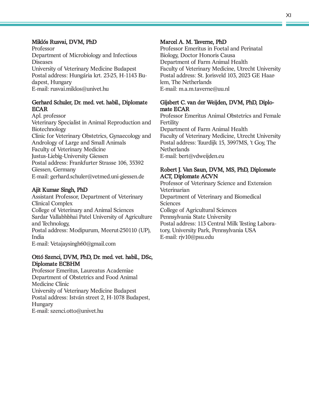#### XI

#### Miklós Rusvai, DVM, PhD

Professor Department of Microbiology and Infectious Diseases University of Veterinary Medicine Budapest Postal address: Hungária krt. 23-25, H-1143 Budapest, Hungary E-mail: rusvai.miklos@univet.hu

#### Gerhard Schuler, Dr. med. vet. habil., Diplomate ECAR

Apl. professor Veterinary Specialist in Animal Reproduction and Biotechnology Clinic for Veterinary Obstetrics, Gynaecology and Andrology of Large and Small Animals Faculty of Veterinary Medicine Justus-Liebig-University Giessen Postal address: Frankfurter Strasse 106, 35392 Giessen, Germany E-mail: gerhard.schuler@vetmed.uni-giessen.de

#### Ajit Kumar Singh, PhD

Assistant Professor, Department of Veterinary Clinical Complex College of Veterinary and Animal Sciences Sardar Vallabhbhai Patel University of Agriculture and Technology, Postal address: Modipurum, Meerut-250110 (UP), India E-mail: Vetajaysingh60@gmail.com

#### Ottó Szenci, DVM, PhD, Dr. med. vet. habil., DSc, Diplomate ECBHM

Professor Emeritus, Laureatus Academiae Department of Obstetrics and Food Animal Medicine Clinic University of Veterinary Medicine Budapest Postal address: István street 2, H-1078 Budapest, Hungary E-mail: szenci.otto@univet.hu

#### Marcel A. M. Taverne, PhD

Professor Emeritus in Foetal and Perinatal Biology, Doctor Honoris Causa Department of Farm Animal Health Faculty of Veterinary Medicine, Utrecht University Postal address: St. Jorisveld 103, 2023 GE Haarlem, The Netherlands E-mail: m.a.m.taverne@uu.nl

#### Gijsbert C. van der Weijden, DVM, PhD, Diplomate ECAR

Professor Emeritus Animal Obstetrics and Female Fertility Department of Farm Animal Health Faculty of Veterinary Medicine, Utrecht University Postal address: Tuurdijk 15, 3997MS, 't Goy, The **Netherlands** E-mail: bert@vdweijden.eu

#### Robert J. Van Saun, DVM, MS, PhD, Diplomate ACT, Diplomate ACVN

Professor of Veterinary Science and Extension Veterinarian Department of Veterinary and Biomedical Sciences College of Agricultural Sciences Pennsylvania State University Postal address: 113 Central Milk Testing Laboratory, University Park, Pennsylvania USA E-mail: rjv10@psu.edu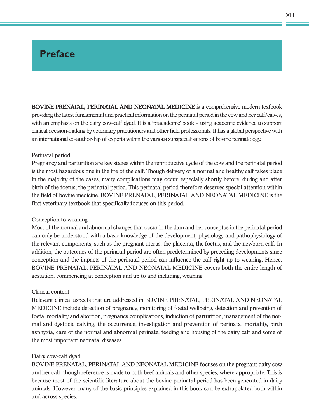# **Preface**

BOVINE PRENATAL, PERINATAL AND NEONATAL MEDICINE is a comprehensive modern textbook providing the latest fundamental and practical information on the perinatal period in the cow and her calf/calves, with an emphasis on the dairy cow-calf dyad. It is a 'pracademic' book – using academic evidence to support clinical decision-making by veterinary practitioners and otherfield professionals. It has a global perspective with an international co-authorship of experts within the various subspecialisations of bovine perinatology.

#### Perinatal period

Pregnancy and parturition are key stages within the reproductive cycle of the cow and the perinatal period is the most hazardous one in the life of the calf. Though delivery of a normal and healthy calf takes place in the majority of the cases, many complications may occur, especially shortly before, during and after birth of the foetus; the perinatal period. This perinatal period therefore deserves special attention within the field of bovine medicine. BOVINE PRENATAL, PERINATAL AND NEONATAL MEDICINE is the first veterinary textbook that specifically focuses on this period.

#### Conception to weaning

Most of the normal and abnormal changes that occur in the dam and her conceptus in the perinatal period can only be understood with a basic knowledge of the development, physiology and pathophysiology of the relevant components, such as the pregnant uterus, the placenta, the foetus, and the newborn calf. In addition, the outcomes of the perinatal period are often predetermined by preceding developments since conception and the impacts of the perinatal period can influence the calf right up to weaning. Hence, BOVINE PRENATAL, PERINATAL AND NEONATAL MEDICINE covers both the entire length of gestation, commencing at conception and up to and including, weaning.

#### Clinical content

Relevant clinical aspects that are addressed in BOVINE PRENATAL, PERINATAL AND NEONATAL MEDICINE include detection of pregnancy, monitoring of foetal wellbeing, detection and prevention of foetal mortality and abortion, pregnancy complications, induction of parturition, management of the normal and dystocic calving, the occurrence, investigation and prevention of perinatal mortality, birth asphyxia, care of the normal and abnormal perinate, feeding and housing of the dairy calf and some of the most important neonatal diseases.

#### Dairy cow-calf dyad

BOVINE PRENATAL, PERINATAL AND NEONATAL MEDICINE focuses on the pregnant dairy cow and her calf, though reference is made to both beef animals and other species, where appropriate. This is because most of the scientific literature about the bovine perinatal period has been generated in dairy animals. However, many of the basic principles explained in this book can be extrapolated both within and across species.